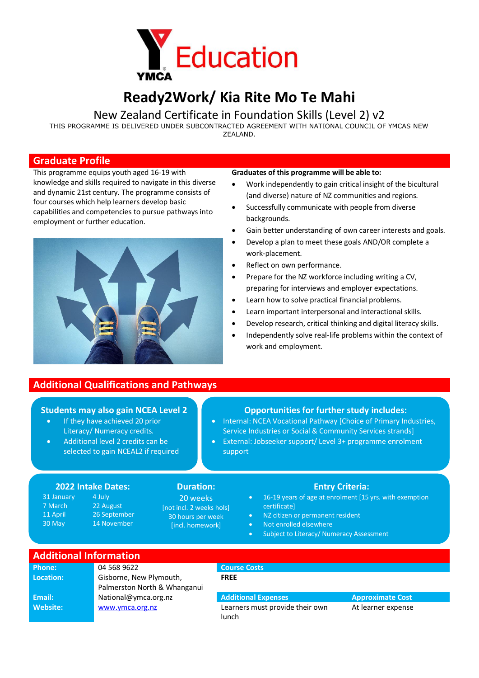

# **Ready2Work/ Kia Rite Mo Te Mahi**

## New Zealand Certificate in Foundation Skills (Level 2) v2

THIS PROGRAMME IS DELIVERED UNDER SUBCONTRACTED AGREEMENT WITH NATIONAL COUNCIL OF YMCAS NEW ZEALAND.

#### **Graduate Profile**

This programme equips youth aged 16-19 with knowledge and skills required to navigate in this diverse and dynamic 21st century. The programme consists of four courses which help learners develop basic capabilities and competencies to pursue pathways into employment or further education.



# **Additional Qualifications and Pathways**

### **Students may also gain NCEA Level 2**

- If they have achieved 20 prior Literacy/ Numeracy credits.
- Additional level 2 credits can be selected to gain NCEAL2 if required

### **Graduates of this programme will be able to:**

- Work independently to gain critical insight of the bicultural (and diverse) nature of NZ communities and regions.
- Successfully communicate with people from diverse backgrounds.
- Gain better understanding of own career interests and goals.
- Develop a plan to meet these goals AND/OR complete a work-placement.
- Reflect on own performance.
- Prepare for the NZ workforce including writing a CV, preparing for interviews and employer expectations.
- Learn how to solve practical financial problems.
- Learn important interpersonal and interactional skills.
- Develop research, critical thinking and digital literacy skills.
- Independently solve real-life problems within the context of work and employment.

### **Opportunities for further study includes:**

- Internal: NCEA Vocational Pathway [Choice of Primary Industries, Service Industries or Social & Community Services strands]
- External: Jobseeker support/ Level 3+ programme enrolment support

#### **2022 Intake Dates: Duration: Entry Criteria:**

4 July 22 August 26 September 14 November

31 January 7 March 11 April 30 May

20 weeks [not incl. 2 weeks hols] 30 hours per week [incl. homework]

- 16-19 years of age at enrolment [15 yrs. with exemption certificate]
- NZ citizen or permanent resident
- Not enrolled elsewhere
- Subject to Literacy/ Numeracy Assessment

|  | <b>Additional Information</b> |  |
|--|-------------------------------|--|
|  |                               |  |
|  |                               |  |
|  |                               |  |

| Phone:          | 04 568 9622                  |  |  |  |
|-----------------|------------------------------|--|--|--|
| Location:       | Gisborne, New Plymouth,      |  |  |  |
|                 | Palmerston North & Whanganui |  |  |  |
| Email:          | National@ymca.org.nz         |  |  |  |
| <b>Website:</b> | www.ymca.org.nz              |  |  |  |
|                 |                              |  |  |  |

#### **Email:** National@ymca.org.nz **Additional Expenses Approximate Cost**

**Phone:** Course Costs

**FREE**

Learners must provide their own lunch

At learner expense